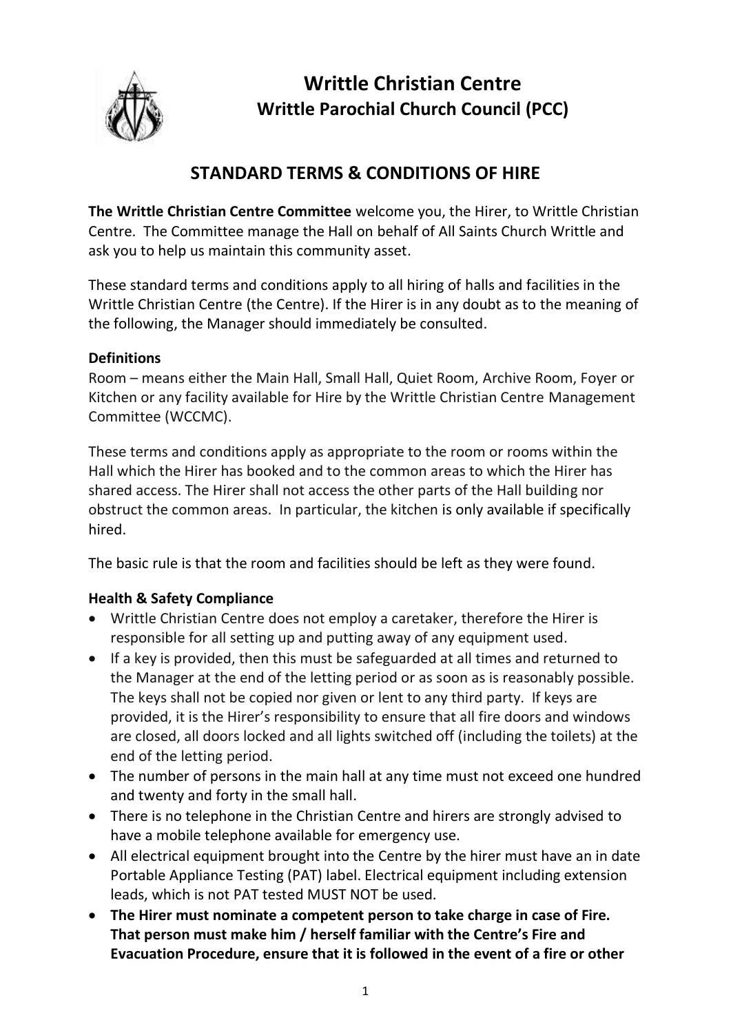

**Writtle Christian Centre Writtle Parochial Church Council (PCC)**

# **STANDARD TERMS & CONDITIONS OF HIRE**

**The Writtle Christian Centre Committee** welcome you, the Hirer, to Writtle Christian Centre. The Committee manage the Hall on behalf of All Saints Church Writtle and ask you to help us maintain this community asset.

These standard terms and conditions apply to all hiring of halls and facilities in the Writtle Christian Centre (the Centre). If the Hirer is in any doubt as to the meaning of the following, the Manager should immediately be consulted.

### **Definitions**

Room – means either the Main Hall, Small Hall, Quiet Room, Archive Room, Foyer or Kitchen or any facility available for Hire by the Writtle Christian Centre Management Committee (WCCMC).

These terms and conditions apply as appropriate to the room or rooms within the Hall which the Hirer has booked and to the common areas to which the Hirer has shared access. The Hirer shall not access the other parts of the Hall building nor obstruct the common areas. In particular, the kitchen is only available if specifically hired.

The basic rule is that the room and facilities should be left as they were found.

# **Health & Safety Compliance**

- Writtle Christian Centre does not employ a caretaker, therefore the Hirer is responsible for all setting up and putting away of any equipment used.
- If a key is provided, then this must be safeguarded at all times and returned to the Manager at the end of the letting period or as soon as is reasonably possible. The keys shall not be copied nor given or lent to any third party. If keys are provided, it is the Hirer's responsibility to ensure that all fire doors and windows are closed, all doors locked and all lights switched off (including the toilets) at the end of the letting period.
- The number of persons in the main hall at any time must not exceed one hundred and twenty and forty in the small hall.
- There is no telephone in the Christian Centre and hirers are strongly advised to have a mobile telephone available for emergency use.
- All electrical equipment brought into the Centre by the hirer must have an in date Portable Appliance Testing (PAT) label. Electrical equipment including extension leads, which is not PAT tested MUST NOT be used.
- **The Hirer must nominate a competent person to take charge in case of Fire. That person must make him / herself familiar with the Centre's Fire and Evacuation Procedure, ensure that it is followed in the event of a fire or other**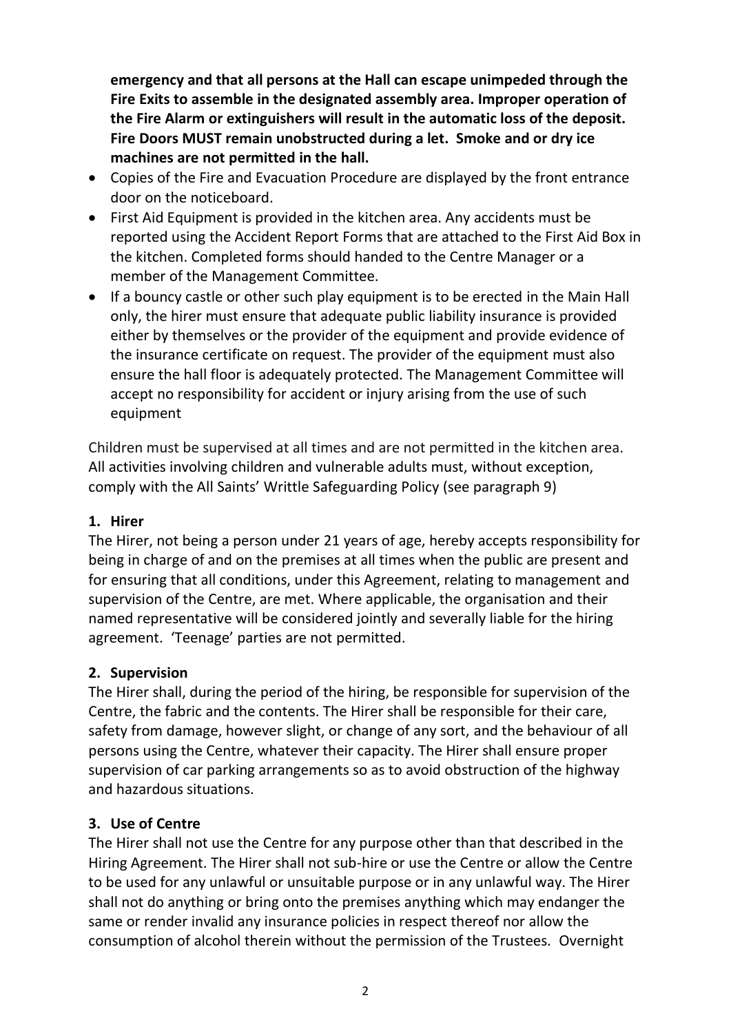**emergency and that all persons at the Hall can escape unimpeded through the Fire Exits to assemble in the designated assembly area. Improper operation of the Fire Alarm or extinguishers will result in the automatic loss of the deposit. Fire Doors MUST remain unobstructed during a let. Smoke and or dry ice machines are not permitted in the hall.**

- Copies of the Fire and Evacuation Procedure are displayed by the front entrance door on the noticeboard.
- First Aid Equipment is provided in the kitchen area. Any accidents must be reported using the Accident Report Forms that are attached to the First Aid Box in the kitchen. Completed forms should handed to the Centre Manager or a member of the Management Committee.
- If a bouncy castle or other such play equipment is to be erected in the Main Hall only, the hirer must ensure that adequate public liability insurance is provided either by themselves or the provider of the equipment and provide evidence of the insurance certificate on request. The provider of the equipment must also ensure the hall floor is adequately protected. The Management Committee will accept no responsibility for accident or injury arising from the use of such equipment

Children must be supervised at all times and are not permitted in the kitchen area. All activities involving children and vulnerable adults must, without exception, comply with the All Saints' Writtle Safeguarding Policy (see paragraph 9)

### **1. Hirer**

The Hirer, not being a person under 21 years of age, hereby accepts responsibility for being in charge of and on the premises at all times when the public are present and for ensuring that all conditions, under this Agreement, relating to management and supervision of the Centre, are met. Where applicable, the organisation and their named representative will be considered jointly and severally liable for the hiring agreement. 'Teenage' parties are not permitted.

### **2. Supervision**

The Hirer shall, during the period of the hiring, be responsible for supervision of the Centre, the fabric and the contents. The Hirer shall be responsible for their care, safety from damage, however slight, or change of any sort, and the behaviour of all persons using the Centre, whatever their capacity. The Hirer shall ensure proper supervision of car parking arrangements so as to avoid obstruction of the highway and hazardous situations.

# **3. Use of Centre**

The Hirer shall not use the Centre for any purpose other than that described in the Hiring Agreement. The Hirer shall not sub-hire or use the Centre or allow the Centre to be used for any unlawful or unsuitable purpose or in any unlawful way. The Hirer shall not do anything or bring onto the premises anything which may endanger the same or render invalid any insurance policies in respect thereof nor allow the consumption of alcohol therein without the permission of the Trustees. Overnight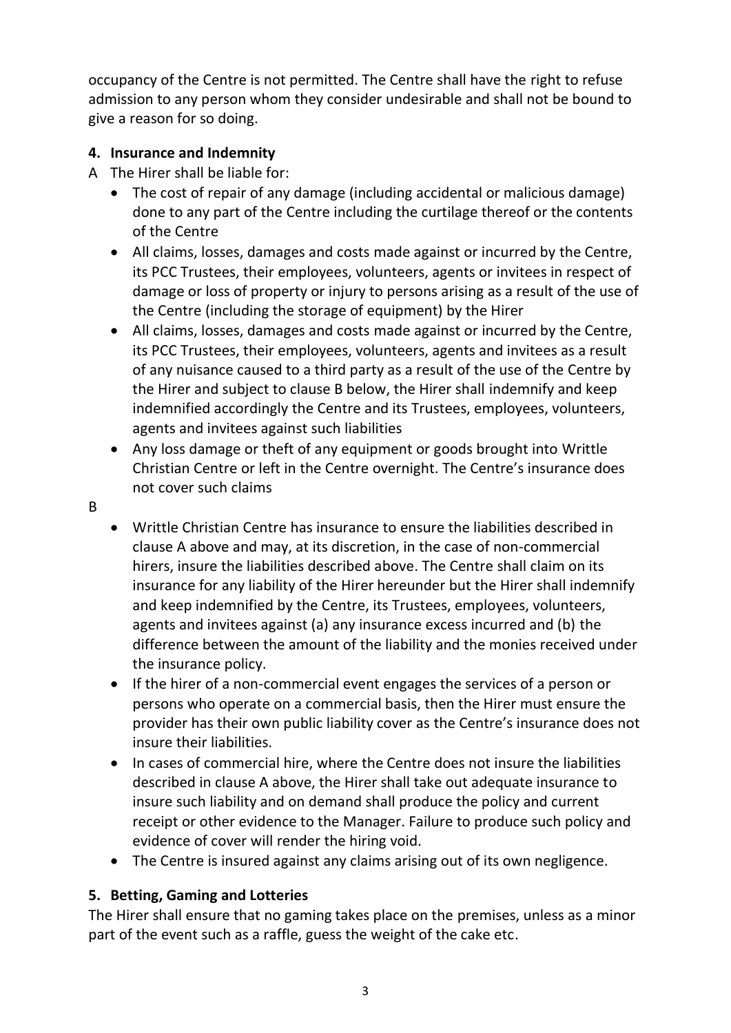occupancy of the Centre is not permitted. The Centre shall have the right to refuse admission to any person whom they consider undesirable and shall not be bound to give a reason for so doing.

# **4. Insurance and Indemnity**

- A The Hirer shall be liable for:
	- The cost of repair of any damage (including accidental or malicious damage) done to any part of the Centre including the curtilage thereof or the contents of the Centre
	- All claims, losses, damages and costs made against or incurred by the Centre, its PCC Trustees, their employees, volunteers, agents or invitees in respect of damage or loss of property or injury to persons arising as a result of the use of the Centre (including the storage of equipment) by the Hirer
	- All claims, losses, damages and costs made against or incurred by the Centre, its PCC Trustees, their employees, volunteers, agents and invitees as a result of any nuisance caused to a third party as a result of the use of the Centre by the Hirer and subject to clause B below, the Hirer shall indemnify and keep indemnified accordingly the Centre and its Trustees, employees, volunteers, agents and invitees against such liabilities
	- Any loss damage or theft of any equipment or goods brought into Writtle Christian Centre or left in the Centre overnight. The Centre's insurance does not cover such claims
- B
- Writtle Christian Centre has insurance to ensure the liabilities described in clause A above and may, at its discretion, in the case of non-commercial hirers, insure the liabilities described above. The Centre shall claim on its insurance for any liability of the Hirer hereunder but the Hirer shall indemnify and keep indemnified by the Centre, its Trustees, employees, volunteers, agents and invitees against (a) any insurance excess incurred and (b) the difference between the amount of the liability and the monies received under the insurance policy.
- If the hirer of a non-commercial event engages the services of a person or persons who operate on a commercial basis, then the Hirer must ensure the provider has their own public liability cover as the Centre's insurance does not insure their liabilities.
- In cases of commercial hire, where the Centre does not insure the liabilities described in clause A above, the Hirer shall take out adequate insurance to insure such liability and on demand shall produce the policy and current receipt or other evidence to the Manager. Failure to produce such policy and evidence of cover will render the hiring void.
- The Centre is insured against any claims arising out of its own negligence.

# **5. Betting, Gaming and Lotteries**

The Hirer shall ensure that no gaming takes place on the premises, unless as a minor part of the event such as a raffle, guess the weight of the cake etc.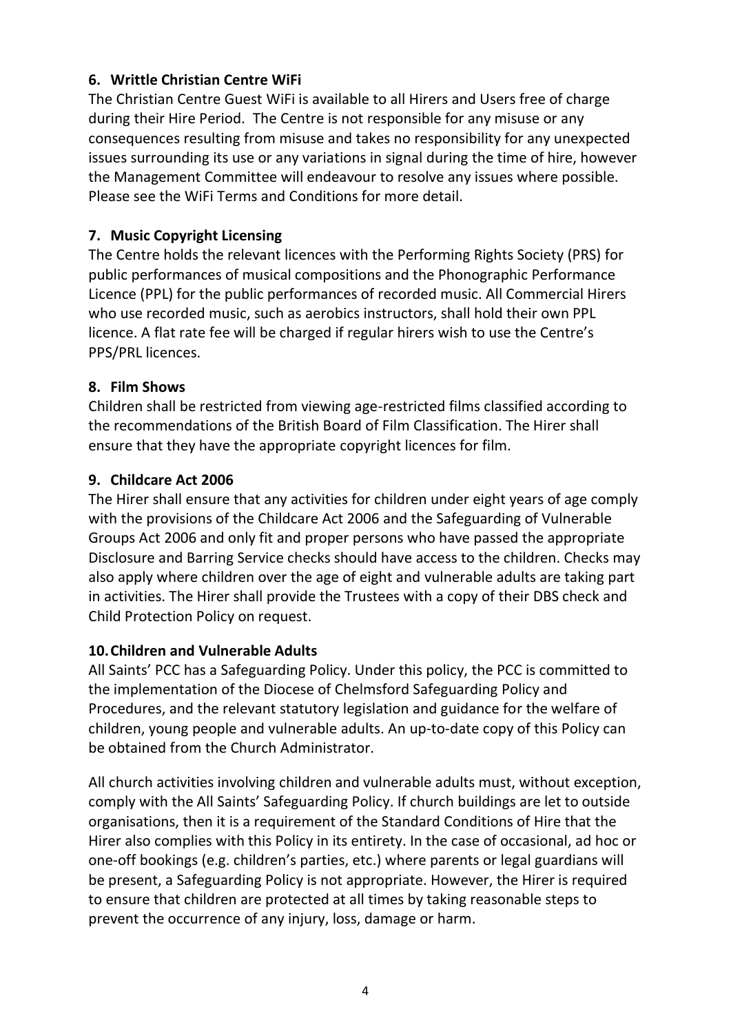### **6. Writtle Christian Centre WiFi**

The Christian Centre Guest WiFi is available to all Hirers and Users free of charge during their Hire Period. The Centre is not responsible for any misuse or any consequences resulting from misuse and takes no responsibility for any unexpected issues surrounding its use or any variations in signal during the time of hire, however the Management Committee will endeavour to resolve any issues where possible. Please see the WiFi Terms and Conditions for more detail.

### **7. Music Copyright Licensing**

The Centre holds the relevant licences with the Performing Rights Society (PRS) for public performances of musical compositions and the Phonographic Performance Licence (PPL) for the public performances of recorded music. All Commercial Hirers who use recorded music, such as aerobics instructors, shall hold their own PPL licence. A flat rate fee will be charged if regular hirers wish to use the Centre's PPS/PRL licences.

### **8. Film Shows**

Children shall be restricted from viewing age-restricted films classified according to the recommendations of the British Board of Film Classification. The Hirer shall ensure that they have the appropriate copyright licences for film.

### **9. Childcare Act 2006**

The Hirer shall ensure that any activities for children under eight years of age comply with the provisions of the Childcare Act 2006 and the Safeguarding of Vulnerable Groups Act 2006 and only fit and proper persons who have passed the appropriate Disclosure and Barring Service checks should have access to the children. Checks may also apply where children over the age of eight and vulnerable adults are taking part in activities. The Hirer shall provide the Trustees with a copy of their DBS check and Child Protection Policy on request.

### **10.Children and Vulnerable Adults**

All Saints' PCC has a Safeguarding Policy. Under this policy, the PCC is committed to the implementation of the Diocese of Chelmsford Safeguarding Policy and Procedures, and the relevant statutory legislation and guidance for the welfare of children, young people and vulnerable adults. An up-to-date copy of this Policy can be obtained from the Church Administrator.

All church activities involving children and vulnerable adults must, without exception, comply with the All Saints' Safeguarding Policy. If church buildings are let to outside organisations, then it is a requirement of the Standard Conditions of Hire that the Hirer also complies with this Policy in its entirety. In the case of occasional, ad hoc or one-off bookings (e.g. children's parties, etc.) where parents or legal guardians will be present, a Safeguarding Policy is not appropriate. However, the Hirer is required to ensure that children are protected at all times by taking reasonable steps to prevent the occurrence of any injury, loss, damage or harm.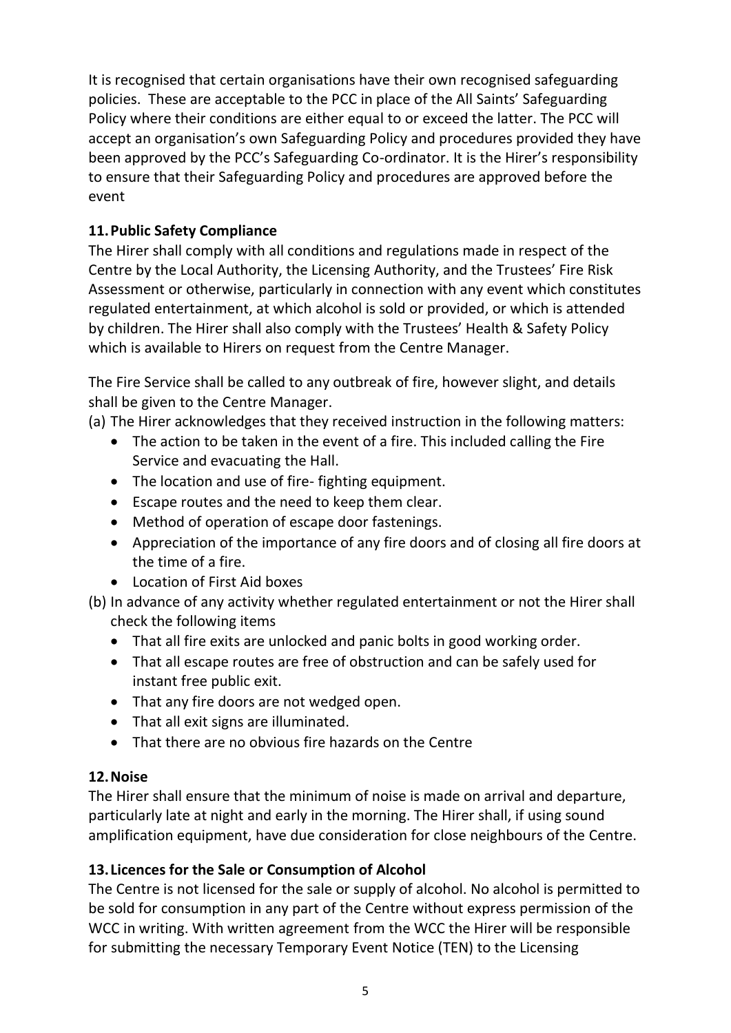It is recognised that certain organisations have their own recognised safeguarding policies. These are acceptable to the PCC in place of the All Saints' Safeguarding Policy where their conditions are either equal to or exceed the latter. The PCC will accept an organisation's own Safeguarding Policy and procedures provided they have been approved by the PCC's Safeguarding Co-ordinator. It is the Hirer's responsibility to ensure that their Safeguarding Policy and procedures are approved before the event

# **11.Public Safety Compliance**

The Hirer shall comply with all conditions and regulations made in respect of the Centre by the Local Authority, the Licensing Authority, and the Trustees' Fire Risk Assessment or otherwise, particularly in connection with any event which constitutes regulated entertainment, at which alcohol is sold or provided, or which is attended by children. The Hirer shall also comply with the Trustees' Health & Safety Policy which is available to Hirers on request from the Centre Manager.

The Fire Service shall be called to any outbreak of fire, however slight, and details shall be given to the Centre Manager.

(a) The Hirer acknowledges that they received instruction in the following matters:

- The action to be taken in the event of a fire. This included calling the Fire Service and evacuating the Hall.
- The location and use of fire- fighting equipment.
- Escape routes and the need to keep them clear.
- Method of operation of escape door fastenings.
- Appreciation of the importance of any fire doors and of closing all fire doors at the time of a fire.
- Location of First Aid boxes
- (b) In advance of any activity whether regulated entertainment or not the Hirer shall check the following items
	- That all fire exits are unlocked and panic bolts in good working order.
	- That all escape routes are free of obstruction and can be safely used for instant free public exit.
	- That any fire doors are not wedged open.
	- That all exit signs are illuminated.
	- That there are no obvious fire hazards on the Centre

# **12.Noise**

The Hirer shall ensure that the minimum of noise is made on arrival and departure, particularly late at night and early in the morning. The Hirer shall, if using sound amplification equipment, have due consideration for close neighbours of the Centre.

# **13.Licences for the Sale or Consumption of Alcohol**

The Centre is not licensed for the sale or supply of alcohol. No alcohol is permitted to be sold for consumption in any part of the Centre without express permission of the WCC in writing. With written agreement from the WCC the Hirer will be responsible for submitting the necessary Temporary Event Notice (TEN) to the Licensing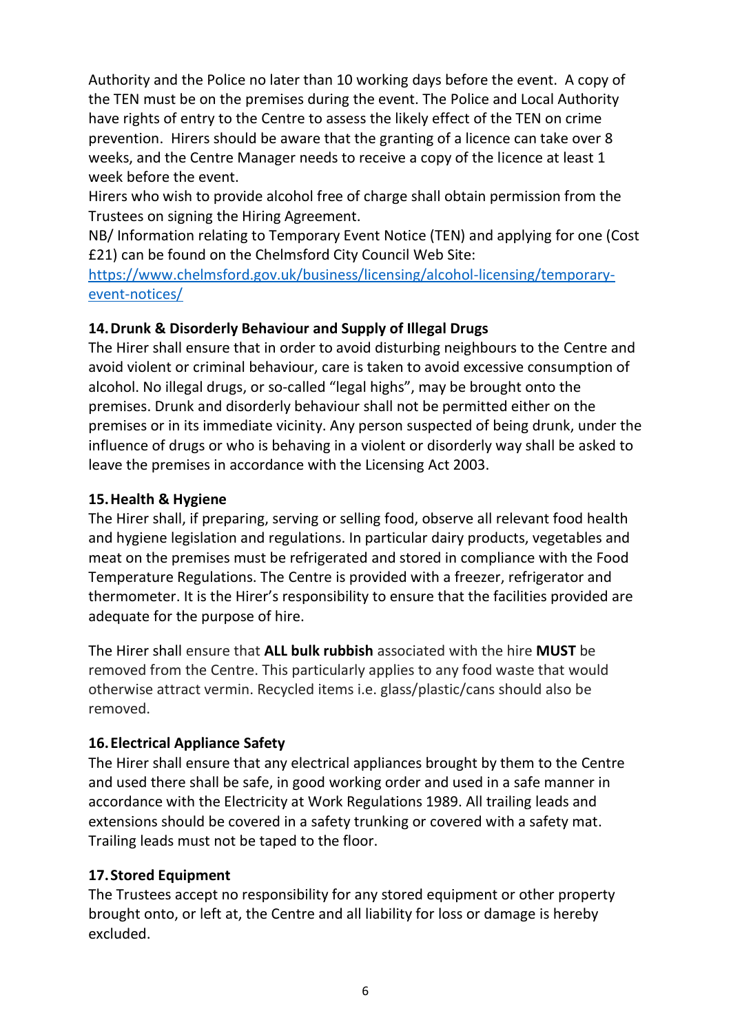Authority and the Police no later than 10 working days before the event. A copy of the TEN must be on the premises during the event. The Police and Local Authority have rights of entry to the Centre to assess the likely effect of the TEN on crime prevention. Hirers should be aware that the granting of a licence can take over 8 weeks, and the Centre Manager needs to receive a copy of the licence at least 1 week before the event.

Hirers who wish to provide alcohol free of charge shall obtain permission from the Trustees on signing the Hiring Agreement.

NB/ Information relating to Temporary Event Notice (TEN) and applying for one (Cost £21) can be found on the Chelmsford City Council Web Site:

[https://www.chelmsford.gov.uk/business/licensing/alcohol-licensing/temporary](https://www.chelmsford.gov.uk/business/licensing/alcohol-licensing/temporary-event-notices/)[event-notices/](https://www.chelmsford.gov.uk/business/licensing/alcohol-licensing/temporary-event-notices/)

### **14.Drunk & Disorderly Behaviour and Supply of Illegal Drugs**

The Hirer shall ensure that in order to avoid disturbing neighbours to the Centre and avoid violent or criminal behaviour, care is taken to avoid excessive consumption of alcohol. No illegal drugs, or so-called "legal highs", may be brought onto the premises. Drunk and disorderly behaviour shall not be permitted either on the premises or in its immediate vicinity. Any person suspected of being drunk, under the influence of drugs or who is behaving in a violent or disorderly way shall be asked to leave the premises in accordance with the Licensing Act 2003.

### **15.Health & Hygiene**

The Hirer shall, if preparing, serving or selling food, observe all relevant food health and hygiene legislation and regulations. In particular dairy products, vegetables and meat on the premises must be refrigerated and stored in compliance with the Food Temperature Regulations. The Centre is provided with a freezer, refrigerator and thermometer. It is the Hirer's responsibility to ensure that the facilities provided are adequate for the purpose of hire.

The Hirer shall ensure that **ALL bulk rubbish** associated with the hire **MUST** be removed from the Centre. This particularly applies to any food waste that would otherwise attract vermin. Recycled items i.e. glass/plastic/cans should also be removed.

# **16.Electrical Appliance Safety**

The Hirer shall ensure that any electrical appliances brought by them to the Centre and used there shall be safe, in good working order and used in a safe manner in accordance with the Electricity at Work Regulations 1989. All trailing leads and extensions should be covered in a safety trunking or covered with a safety mat. Trailing leads must not be taped to the floor.

# **17.Stored Equipment**

The Trustees accept no responsibility for any stored equipment or other property brought onto, or left at, the Centre and all liability for loss or damage is hereby excluded.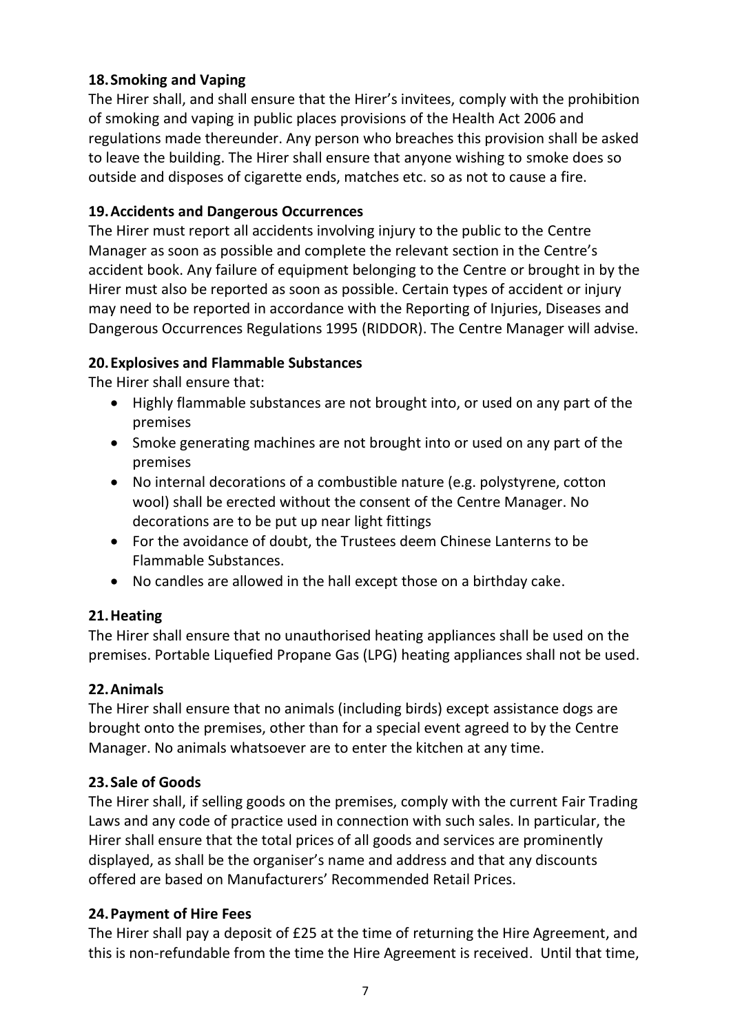### **18.Smoking and Vaping**

The Hirer shall, and shall ensure that the Hirer's invitees, comply with the prohibition of smoking and vaping in public places provisions of the Health Act 2006 and regulations made thereunder. Any person who breaches this provision shall be asked to leave the building. The Hirer shall ensure that anyone wishing to smoke does so outside and disposes of cigarette ends, matches etc. so as not to cause a fire.

### **19.Accidents and Dangerous Occurrences**

The Hirer must report all accidents involving injury to the public to the Centre Manager as soon as possible and complete the relevant section in the Centre's accident book. Any failure of equipment belonging to the Centre or brought in by the Hirer must also be reported as soon as possible. Certain types of accident or injury may need to be reported in accordance with the Reporting of Injuries, Diseases and Dangerous Occurrences Regulations 1995 (RIDDOR). The Centre Manager will advise.

### **20.Explosives and Flammable Substances**

The Hirer shall ensure that:

- Highly flammable substances are not brought into, or used on any part of the premises
- Smoke generating machines are not brought into or used on any part of the premises
- No internal decorations of a combustible nature (e.g. polystyrene, cotton wool) shall be erected without the consent of the Centre Manager. No decorations are to be put up near light fittings
- For the avoidance of doubt, the Trustees deem Chinese Lanterns to be Flammable Substances.
- No candles are allowed in the hall except those on a birthday cake.

### **21.Heating**

The Hirer shall ensure that no unauthorised heating appliances shall be used on the premises. Portable Liquefied Propane Gas (LPG) heating appliances shall not be used.

### **22.Animals**

The Hirer shall ensure that no animals (including birds) except assistance dogs are brought onto the premises, other than for a special event agreed to by the Centre Manager. No animals whatsoever are to enter the kitchen at any time.

### **23.Sale of Goods**

The Hirer shall, if selling goods on the premises, comply with the current Fair Trading Laws and any code of practice used in connection with such sales. In particular, the Hirer shall ensure that the total prices of all goods and services are prominently displayed, as shall be the organiser's name and address and that any discounts offered are based on Manufacturers' Recommended Retail Prices.

### **24.Payment of Hire Fees**

The Hirer shall pay a deposit of £25 at the time of returning the Hire Agreement, and this is non-refundable from the time the Hire Agreement is received. Until that time,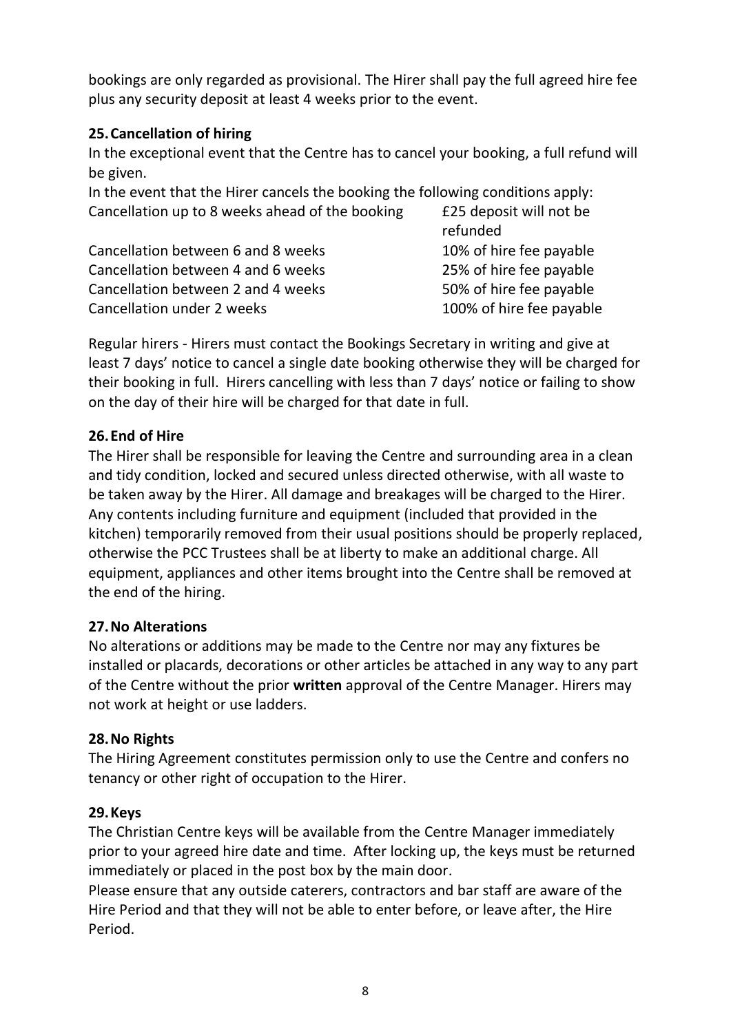bookings are only regarded as provisional. The Hirer shall pay the full agreed hire fee plus any security deposit at least 4 weeks prior to the event.

### **25.Cancellation of hiring**

In the exceptional event that the Centre has to cancel your booking, a full refund will be given.

In the event that the Hirer cancels the booking the following conditions apply: Cancellation up to 8 weeks ahead of the booking £25 deposit will not be

|                                    | refunded                 |
|------------------------------------|--------------------------|
| Cancellation between 6 and 8 weeks | 10% of hire fee payable  |
| Cancellation between 4 and 6 weeks | 25% of hire fee payable  |
| Cancellation between 2 and 4 weeks | 50% of hire fee payable  |
| Cancellation under 2 weeks         | 100% of hire fee payable |

Regular hirers - Hirers must contact the Bookings Secretary in writing and give at least 7 days' notice to cancel a single date booking otherwise they will be charged for their booking in full. Hirers cancelling with less than 7 days' notice or failing to show on the day of their hire will be charged for that date in full.

### **26.End of Hire**

The Hirer shall be responsible for leaving the Centre and surrounding area in a clean and tidy condition, locked and secured unless directed otherwise, with all waste to be taken away by the Hirer. All damage and breakages will be charged to the Hirer. Any contents including furniture and equipment (included that provided in the kitchen) temporarily removed from their usual positions should be properly replaced, otherwise the PCC Trustees shall be at liberty to make an additional charge. All equipment, appliances and other items brought into the Centre shall be removed at the end of the hiring.

# **27.No Alterations**

No alterations or additions may be made to the Centre nor may any fixtures be installed or placards, decorations or other articles be attached in any way to any part of the Centre without the prior **written** approval of the Centre Manager. Hirers may not work at height or use ladders.

# **28.No Rights**

The Hiring Agreement constitutes permission only to use the Centre and confers no tenancy or other right of occupation to the Hirer.

# **29.Keys**

The Christian Centre keys will be available from the Centre Manager immediately prior to your agreed hire date and time. After locking up, the keys must be returned immediately or placed in the post box by the main door.

Please ensure that any outside caterers, contractors and bar staff are aware of the Hire Period and that they will not be able to enter before, or leave after, the Hire Period.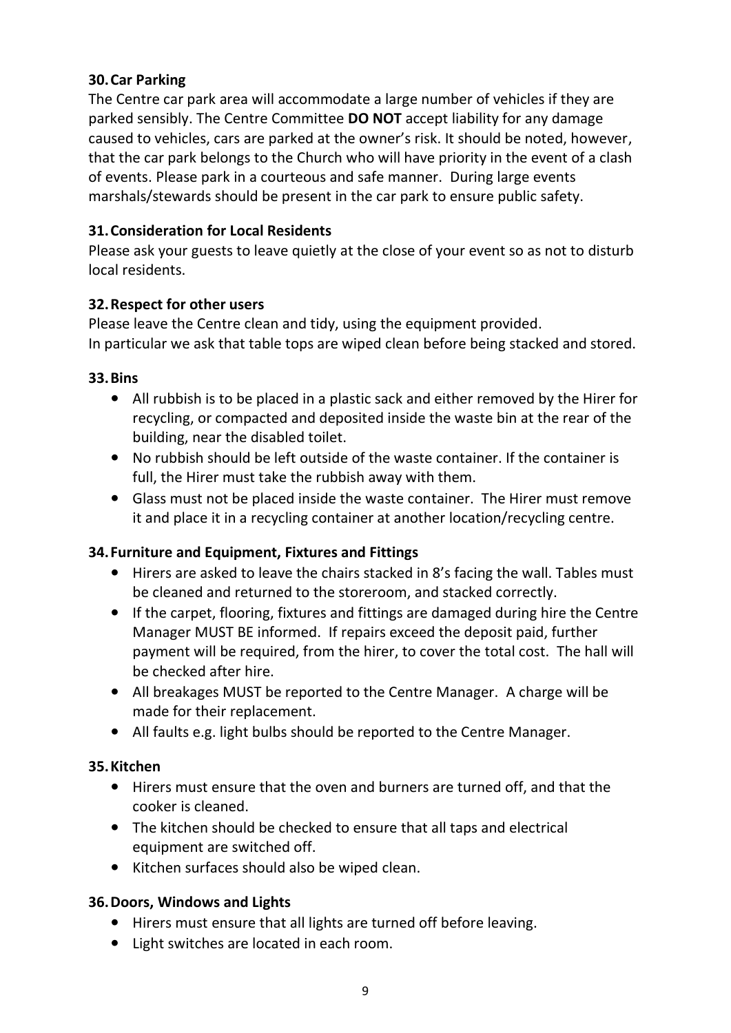### **30.Car Parking**

The Centre car park area will accommodate a large number of vehicles if they are parked sensibly. The Centre Committee **DO NOT** accept liability for any damage caused to vehicles, cars are parked at the owner's risk. It should be noted, however, that the car park belongs to the Church who will have priority in the event of a clash of events. Please park in a courteous and safe manner. During large events marshals/stewards should be present in the car park to ensure public safety.

### **31.Consideration for Local Residents**

Please ask your guests to leave quietly at the close of your event so as not to disturb local residents.

### **32.Respect for other users**

Please leave the Centre clean and tidy, using the equipment provided. In particular we ask that table tops are wiped clean before being stacked and stored.

### **33.Bins**

- **•** All rubbish is to be placed in a plastic sack and either removed by the Hirer for recycling, or compacted and deposited inside the waste bin at the rear of the building, near the disabled toilet.
- **•** No rubbish should be left outside of the waste container. If the container is full, the Hirer must take the rubbish away with them.
- **•** Glass must not be placed inside the waste container. The Hirer must remove it and place it in a recycling container at another location/recycling centre.

### **34.Furniture and Equipment, Fixtures and Fittings**

- **•** Hirers are asked to leave the chairs stacked in 8's facing the wall. Tables must be cleaned and returned to the storeroom, and stacked correctly.
- **•** If the carpet, flooring, fixtures and fittings are damaged during hire the Centre Manager MUST BE informed. If repairs exceed the deposit paid, further payment will be required, from the hirer, to cover the total cost. The hall will be checked after hire.
- **•** All breakages MUST be reported to the Centre Manager. A charge will be made for their replacement.
- **•** All faults e.g. light bulbs should be reported to the Centre Manager.

# **35.Kitchen**

- **•** Hirers must ensure that the oven and burners are turned off, and that the cooker is cleaned.
- **•** The kitchen should be checked to ensure that all taps and electrical equipment are switched off.
- **•** Kitchen surfaces should also be wiped clean.

### **36.Doors, Windows and Lights**

- **•** Hirers must ensure that all lights are turned off before leaving.
- **•** Light switches are located in each room.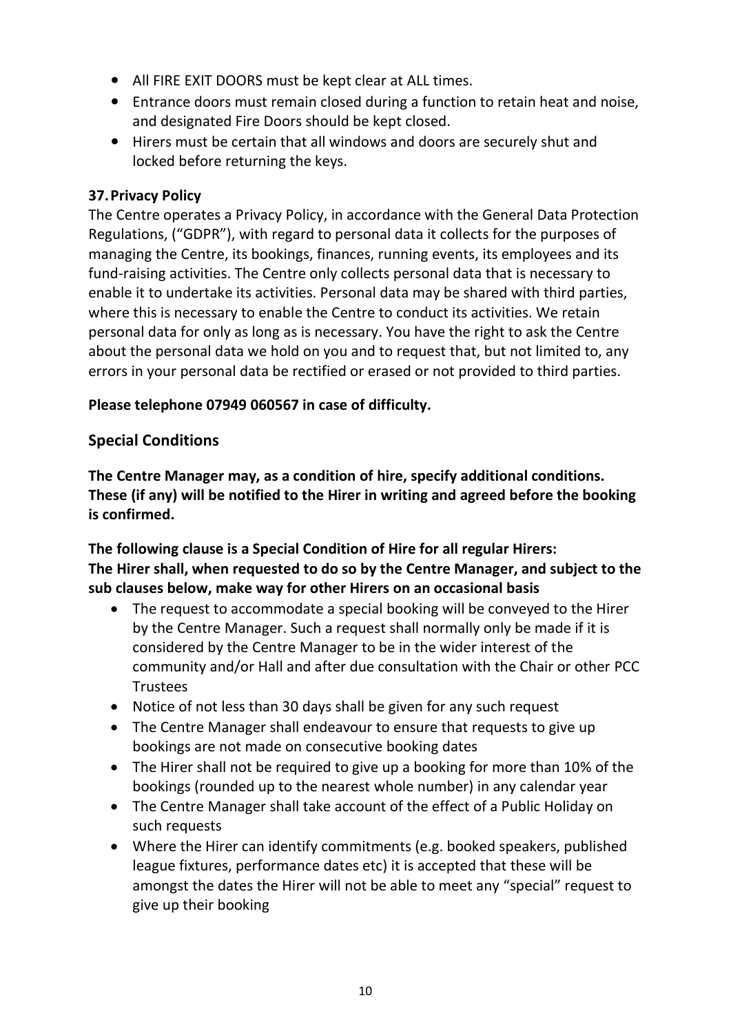- **•** All FIRE EXIT DOORS must be kept clear at ALL times.
- **•** Entrance doors must remain closed during a function to retain heat and noise, and designated Fire Doors should be kept closed.
- **•** Hirers must be certain that all windows and doors are securely shut and locked before returning the keys.

### **37.Privacy Policy**

The Centre operates a Privacy Policy, in accordance with the General Data Protection Regulations, ("GDPR"), with regard to personal data it collects for the purposes of managing the Centre, its bookings, finances, running events, its employees and its fund-raising activities. The Centre only collects personal data that is necessary to enable it to undertake its activities. Personal data may be shared with third parties, where this is necessary to enable the Centre to conduct its activities. We retain personal data for only as long as is necessary. You have the right to ask the Centre about the personal data we hold on you and to request that, but not limited to, any errors in your personal data be rectified or erased or not provided to third parties.

### **Please telephone 07949 060567 in case of difficulty.**

# **Special Conditions**

**The Centre Manager may, as a condition of hire, specify additional conditions. These (if any) will be notified to the Hirer in writing and agreed before the booking is confirmed.**

**The following clause is a Special Condition of Hire for all regular Hirers: The Hirer shall, when requested to do so by the Centre Manager, and subject to the sub clauses below, make way for other Hirers on an occasional basis**

- The request to accommodate a special booking will be conveyed to the Hirer by the Centre Manager. Such a request shall normally only be made if it is considered by the Centre Manager to be in the wider interest of the community and/or Hall and after due consultation with the Chair or other PCC Trustees
- Notice of not less than 30 days shall be given for any such request
- The Centre Manager shall endeavour to ensure that requests to give up bookings are not made on consecutive booking dates
- The Hirer shall not be required to give up a booking for more than 10% of the bookings (rounded up to the nearest whole number) in any calendar year
- The Centre Manager shall take account of the effect of a Public Holiday on such requests
- Where the Hirer can identify commitments (e.g. booked speakers, published league fixtures, performance dates etc) it is accepted that these will be amongst the dates the Hirer will not be able to meet any "special" request to give up their booking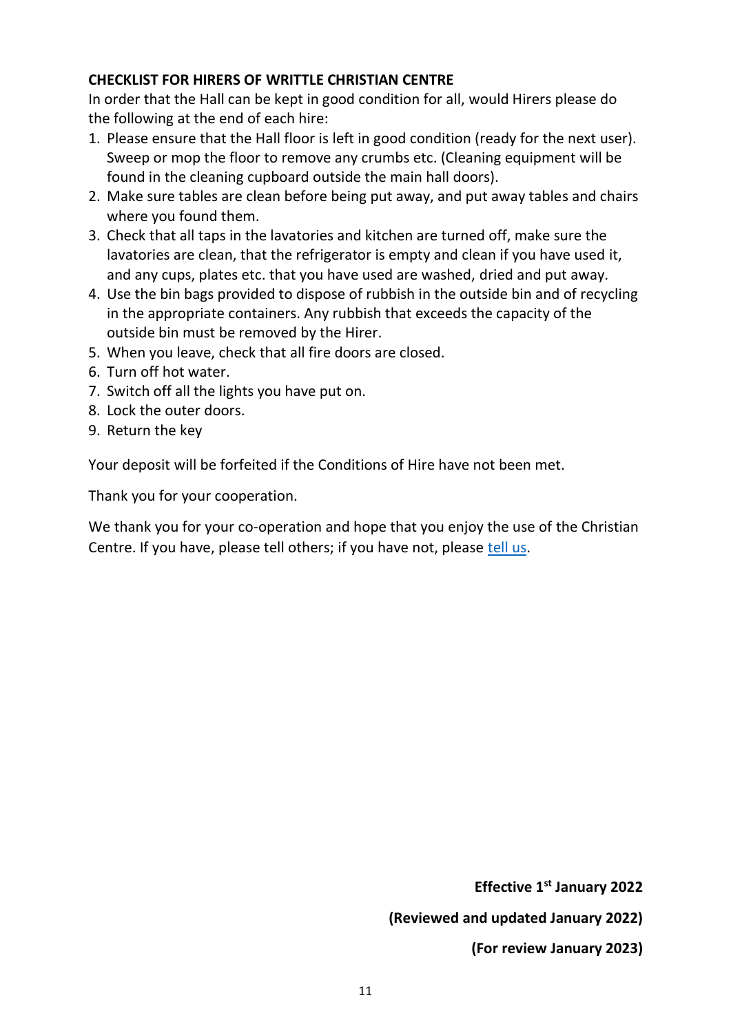### **CHECKLIST FOR HIRERS OF WRITTLE CHRISTIAN CENTRE**

In order that the Hall can be kept in good condition for all, would Hirers please do the following at the end of each hire:

- 1. Please ensure that the Hall floor is left in good condition (ready for the next user). Sweep or mop the floor to remove any crumbs etc. (Cleaning equipment will be found in the cleaning cupboard outside the main hall doors).
- 2. Make sure tables are clean before being put away, and put away tables and chairs where you found them.
- 3. Check that all taps in the lavatories and kitchen are turned off, make sure the lavatories are clean, that the refrigerator is empty and clean if you have used it, and any cups, plates etc. that you have used are washed, dried and put away.
- 4. Use the bin bags provided to dispose of rubbish in the outside bin and of recycling in the appropriate containers. Any rubbish that exceeds the capacity of the outside bin must be removed by the Hirer.
- 5. When you leave, check that all fire doors are closed.
- 6. Turn off hot water.
- 7. Switch off all the lights you have put on.
- 8. Lock the outer doors.
- 9. Return the key

Your deposit will be forfeited if the Conditions of Hire have not been met.

Thank you for your cooperation.

We thank you for your co-operation and hope that you enjoy the use of the Christian Centre. If you have, please tell others; if you have not, please [tell us.](mailto:writtlechristiancentre@gmail.com)

> **Effective 1st January 2022 (Reviewed and updated January 2022) (For review January 2023)**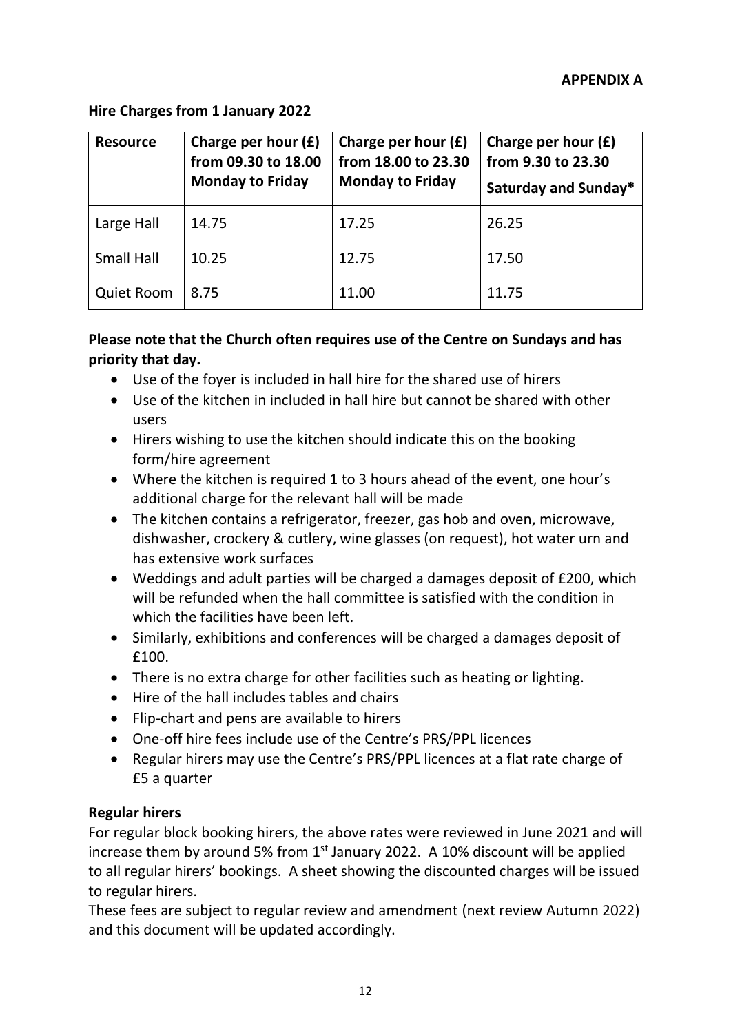### **Hire Charges from 1 January 2022**

| <b>Resource</b>   | Charge per hour $(f)$<br>from 09.30 to 18.00<br><b>Monday to Friday</b> | Charge per hour $(f)$<br>from 18.00 to 23.30<br><b>Monday to Friday</b> | Charge per hour $(f)$<br>from 9.30 to 23.30<br><b>Saturday and Sunday*</b> |
|-------------------|-------------------------------------------------------------------------|-------------------------------------------------------------------------|----------------------------------------------------------------------------|
| Large Hall        | 14.75                                                                   | 17.25                                                                   | 26.25                                                                      |
| <b>Small Hall</b> | 10.25                                                                   | 12.75                                                                   | 17.50                                                                      |
| <b>Quiet Room</b> | 8.75                                                                    | 11.00                                                                   | 11.75                                                                      |

### **Please note that the Church often requires use of the Centre on Sundays and has priority that day.**

- Use of the foyer is included in hall hire for the shared use of hirers
- Use of the kitchen in included in hall hire but cannot be shared with other users
- Hirers wishing to use the kitchen should indicate this on the booking form/hire agreement
- Where the kitchen is required 1 to 3 hours ahead of the event, one hour's additional charge for the relevant hall will be made
- The kitchen contains a refrigerator, freezer, gas hob and oven, microwave, dishwasher, crockery & cutlery, wine glasses (on request), hot water urn and has extensive work surfaces
- Weddings and adult parties will be charged a damages deposit of £200, which will be refunded when the hall committee is satisfied with the condition in which the facilities have been left.
- Similarly, exhibitions and conferences will be charged a damages deposit of £100.
- There is no extra charge for other facilities such as heating or lighting.
- Hire of the hall includes tables and chairs
- Flip-chart and pens are available to hirers
- One-off hire fees include use of the Centre's PRS/PPL licences
- Regular hirers may use the Centre's PRS/PPL licences at a flat rate charge of £5 a quarter

### **Regular hirers**

For regular block booking hirers, the above rates were reviewed in June 2021 and will increase them by around 5% from  $1<sup>st</sup>$  January 2022. A 10% discount will be applied to all regular hirers' bookings. A sheet showing the discounted charges will be issued to regular hirers.

These fees are subject to regular review and amendment (next review Autumn 2022) and this document will be updated accordingly.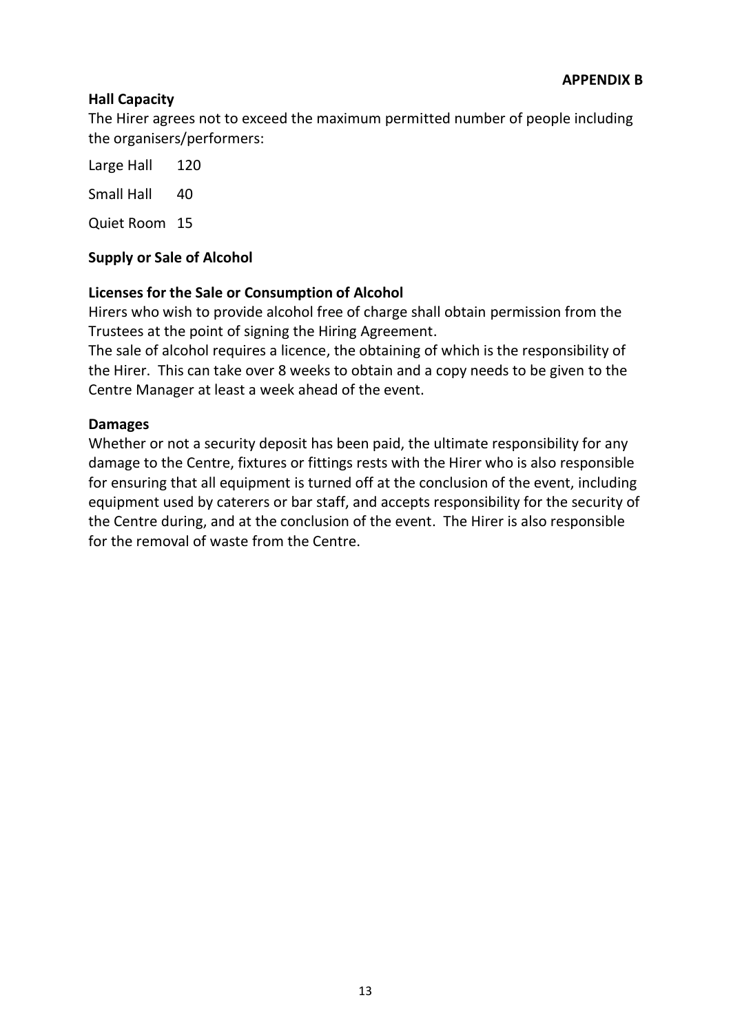### **Hall Capacity**

The Hirer agrees not to exceed the maximum permitted number of people including the organisers/performers:

Large Hall 120

Small Hall 40

Quiet Room 15

### **Supply or Sale of Alcohol**

### **Licenses for the Sale or Consumption of Alcohol**

Hirers who wish to provide alcohol free of charge shall obtain permission from the Trustees at the point of signing the Hiring Agreement.

The sale of alcohol requires a licence, the obtaining of which is the responsibility of the Hirer. This can take over 8 weeks to obtain and a copy needs to be given to the Centre Manager at least a week ahead of the event.

#### **Damages**

Whether or not a security deposit has been paid, the ultimate responsibility for any damage to the Centre, fixtures or fittings rests with the Hirer who is also responsible for ensuring that all equipment is turned off at the conclusion of the event, including equipment used by caterers or bar staff, and accepts responsibility for the security of the Centre during, and at the conclusion of the event. The Hirer is also responsible for the removal of waste from the Centre.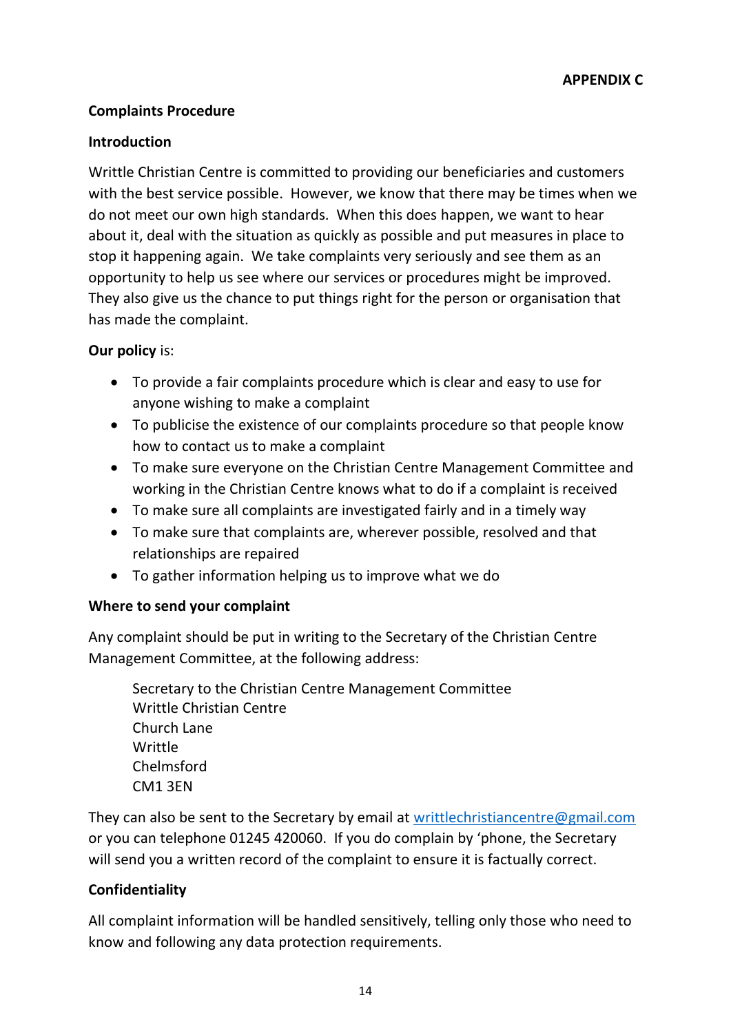### **Complaints Procedure**

### **Introduction**

Writtle Christian Centre is committed to providing our beneficiaries and customers with the best service possible. However, we know that there may be times when we do not meet our own high standards. When this does happen, we want to hear about it, deal with the situation as quickly as possible and put measures in place to stop it happening again. We take complaints very seriously and see them as an opportunity to help us see where our services or procedures might be improved. They also give us the chance to put things right for the person or organisation that has made the complaint.

# **Our policy** is:

- To provide a fair complaints procedure which is clear and easy to use for anyone wishing to make a complaint
- To publicise the existence of our complaints procedure so that people know how to contact us to make a complaint
- To make sure everyone on the Christian Centre Management Committee and working in the Christian Centre knows what to do if a complaint is received
- To make sure all complaints are investigated fairly and in a timely way
- To make sure that complaints are, wherever possible, resolved and that relationships are repaired
- To gather information helping us to improve what we do

# **Where to send your complaint**

Any complaint should be put in writing to the Secretary of the Christian Centre Management Committee, at the following address:

Secretary to the Christian Centre Management Committee Writtle Christian Centre Church Lane Writtle Chelmsford CM1 3EN

They can also be sent to the Secretary by email at [writtlechristiancentre@gmail.com](mailto:writtlechristiancentre@gmail.com) or you can telephone 01245 420060. If you do complain by 'phone, the Secretary will send you a written record of the complaint to ensure it is factually correct.

# **Confidentiality**

All complaint information will be handled sensitively, telling only those who need to know and following any data protection requirements.